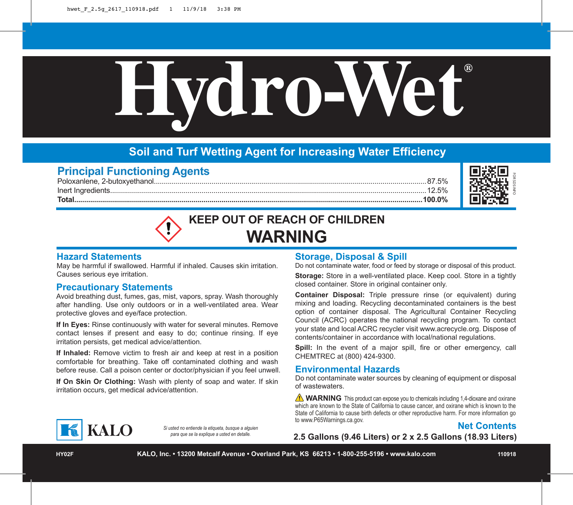

# **Soil and Turf Wetting Agent for Increasing Water Efficiency**

# **Principal Functioning Agents**

Poloxanlene, 2-butoxyethanol.........................................................................................................................................87.5% Inert Ingredients...............................................................................................................................................................12.5% **Total...............................................................................................................................................................................100.0%**



# **KEEP OUT OF REACH OF CHILDREN WARNING**

#### **Hazard Statements**

May be harmful if swallowed. Harmful if inhaled. Causes skin irritation. Causes serious eye irritation.

#### **Precautionary Statements**

Avoid breathing dust, fumes, gas, mist, vapors, spray. Wash thoroughly after handling. Use only outdoors or in a well-ventilated area. Wear protective gloves and eye/face protection.

**If In Eyes:** Rinse continuously with water for several minutes. Remove contact lenses if present and easy to do; continue rinsing. If eye irritation persists, get medical advice/attention.

**If Inhaled:** Remove victim to fresh air and keep at rest in a position comfortable for breathing. Take off contaminated clothing and wash before reuse. Call a poison center or doctor/physician if you feel unwell.

**If On Skin Or Clothing:** Wash with plenty of soap and water. If skin irritation occurs, get medical advice/attention.

#### **Storage, Disposal & Spill**

Do not contaminate water, food or feed by storage or disposal of this product.

**Storage:** Store in a well-ventilated place. Keep cool. Store in a tightly closed container. Store in original container only.

**2.5 Gallons (2.46 Liters)**<br> **2.5 Gallons (12.5%**<br> **2.5%**<br> **2.46 CALLOREN**<br> **2.44 CALLOREN**<br> **2.44 CALLOREN**<br> **2.44 Complementate water, food or feed by storage or disposal of this product<br>
<b>2.44 Container Signosal:** Tripl **Container Disposal:** Triple pressure rinse (or equivalent) during mixing and loading. Recycling decontaminated containers is the best option of container disposal. The Agricultural Container Recycling Council (ACRC) operates the national recycling program. To contact your state and local ACRC recycler visit www.acrecycle.org. Dispose of contents/container in accordance with local/national regulations.

**Spill:** In the event of a major spill, fire or other emergency, call CHEMTREC at (800) 424-9300.

#### **Environmental Hazards**

Do not contaminate water sources by cleaning of equipment or disposal of wastewaters.

**WARNING** This product can expose you to chemicals including 1,4-dioxane and oxirane which are known to the State of California to cause cancer, and oxirane which is known to the State of California to cause birth defects or other reproductive harm. For more information go to www.P65Warnings.ca.gov.



**KALO** 

*Si usted no entiende la etiqueta, busque a alguien para que se la explique a usted en detalle.*

**HY02F KALO, Inc. • 13200 Metcalf Avenue • Overland Park, KS 66213 • 1-800-255-5196 • www.kalo.com 110918**